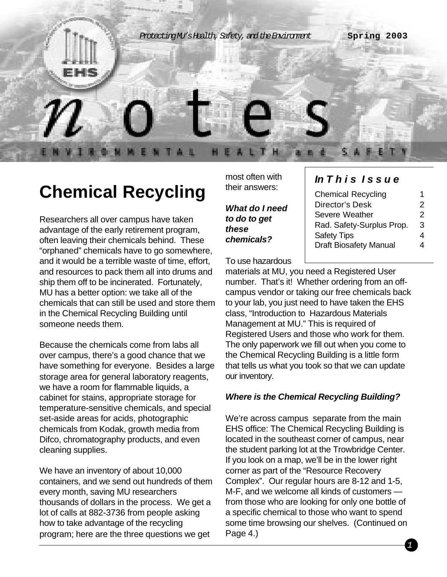

# **Chemical Recycling**

Researchers all over campus have taken advantage of the early retirement program, often leaving their chemicals behind. These "orphaned" chemicals have to go somewhere, and it would be a terrible waste of time, effort, and resources to pack them all into drums and ship them off to be incinerated. Fortunately, MU has a better option: we take all of the chemicals that can still be used and store them in the Chemical Recycling Building until someone needs them.

Because the chemicals come from labs all over campus, there's a good chance that we have something for everyone. Besides a large storage area for general laboratory reagents, we have a room for flammable liquids, a cabinet for stains, appropriate storage for temperature-sensitive chemicals, and special set-aside areas for acids, photographic chemicals from Kodak, growth media from Difco, chromatography products, and even cleaning supplies.

We have an inventory of about 10,000 containers, and we send out hundreds of them every month, saving MU researchers thousands of dollars in the process. We get a lot of calls at 882-3736 from people asking how to take advantage of the recycling program; here are the three questions we get

most often with their answers:

*What do I need to do to get these chemicals?*

To use hazardous

### *In This Issue*

| <b>Chemical Recycling</b>     | 1 |
|-------------------------------|---|
| Director's Desk               | 2 |
| Severe Weather                | 2 |
| Rad. Safety-Surplus Prop.     | 3 |
| <b>Safety Tips</b>            | 4 |
| <b>Draft Biosafety Manual</b> | Δ |

materials at MU, you need a Registered User number. That's it! Whether ordering from an offcampus vendor or taking our free chemicals back to your lab, you just need to have taken the EHS class, "Introduction to Hazardous Materials Management at MU." This is required of Registered Users and those who work for them. The only paperwork we fill out when you come to the Chemical Recycling Building is a little form that tells us what you took so that we can update our inventory.

#### *Where is the Chemical Recycling Building?*

We're across campus separate from the main EHS office: The Chemical Recycling Building is located in the southeast corner of campus, near the student parking lot at the Trowbridge Center. If you look on a map, we'll be in the lower right corner as part of the "Resource Recovery Complex". Our regular hours are 8-12 and 1-5, M-F, and we welcome all kinds of customers from those who are looking for only one bottle of a specific chemical to those who want to spend some time browsing our shelves. (Continued on Page 4.)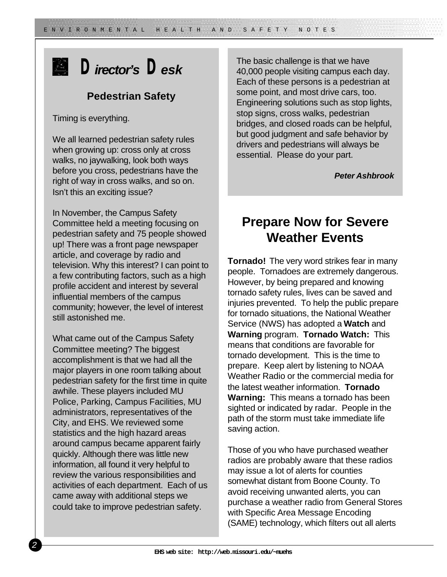# *Director's Desk*

### **Pedestrian Safety**

Timing is everything.

We all learned pedestrian safety rules when growing up: cross only at cross walks, no jaywalking, look both ways before you cross, pedestrians have the right of way in cross walks, and so on. Isn't this an exciting issue?

In November, the Campus Safety Committee held a meeting focusing on pedestrian safety and 75 people showed up! There was a front page newspaper article, and coverage by radio and television. Why this interest? I can point to a few contributing factors, such as a high profile accident and interest by several influential members of the campus community; however, the level of interest still astonished me.

What came out of the Campus Safety Committee meeting? The biggest accomplishment is that we had all the major players in one room talking about pedestrian safety for the first time in quite awhile. These players included MU Police, Parking, Campus Facilities, MU administrators, representatives of the City, and EHS. We reviewed some statistics and the high hazard areas around campus became apparent fairly quickly. Although there was little new information, all found it very helpful to review the various responsibilities and activities of each department. Each of us came away with additional steps we could take to improve pedestrian safety.

The basic challenge is that we have 40,000 people visiting campus each day. Each of these persons is a pedestrian at some point, and most drive cars, too. Engineering solutions such as stop lights, stop signs, cross walks, pedestrian bridges, and closed roads can be helpful, but good judgment and safe behavior by drivers and pedestrians will always be essential. Please do your part.

*Peter Ashbrook*

### **Prepare Now for Severe Weather Events**

**Tornado!** The very word strikes fear in many people. Tornadoes are extremely dangerous. However, by being prepared and knowing tornado safety rules, lives can be saved and injuries prevented. To help the public prepare for tornado situations, the National Weather Service (NWS) has adopted a **Watch** and **Warning** program. **Tornado Watch:** This means that conditions are favorable for tornado development. This is the time to prepare. Keep alert by listening to NOAA Weather Radio or the commercial media for the latest weather information. **Tornado Warning:** This means a tornado has been sighted or indicated by radar. People in the path of the storm must take immediate life saving action.

Those of you who have purchased weather radios are probably aware that these radios may issue a lot of alerts for counties somewhat distant from Boone County. To avoid receiving unwanted alerts, you can purchase a weather radio from General Stores with Specific Area Message Encoding (SAME) technology, which filters out all alerts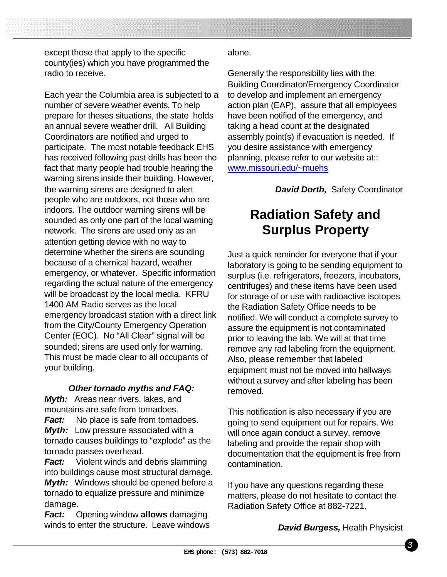except those that apply to the specific county(ies) which you have programmed the radio to receive.

Each year the Columbia area is subjected to a number of severe weather events. To help prepare for theses situations, the state holds an annual severe weather drill. All Building Coordinators are notified and urged to participate. The most notable feedback EHS has received following past drills has been the fact that many people had trouble hearing the warning sirens inside their building. However, the warning sirens are designed to alert people who are outdoors, not those who are indoors. The outdoor warning sirens will be sounded as only one part of the local warning network. The sirens are used only as an attention getting device with no way to determine whether the sirens are sounding because of a chemical hazard, weather emergency, or whatever. Specific information regarding the actual nature of the emergency will be broadcast by the local media. KFRU 1400 AM Radio serves as the local emergency broadcast station with a direct link from the City/County Emergency Operation Center (EOC). No "All Clear" signal will be sounded; sirens are used only for warning. This must be made clear to all occupants of your building.

#### *Other tornado myths and FAQ:*

*Myth:* Areas near rivers, lakes, and mountains are safe from tornadoes.

*Fact:* No place is safe from tornadoes. *Myth:* Low pressure associated with a tornado causes buildings to "explode" as the tornado passes overhead.

*Fact:* Violent winds and debris slamming into buildings cause most structural damage. *Myth:* Windows should be opened before a tornado to equalize pressure and minimize damage.

*Fact:* Opening window **allows** damaging winds to enter the structure. Leave windows

#### alone.

SPECIAL TEMPLATE ISSUE SPECIAL TEMPLATE ISSUE SPRING 2001 AND LOCAL TEMPLATE ISSUE SPRING 2001 AND LOCAL TEMPL

Generally the responsibility lies with the Building Coordinator/Emergency Coordinator to develop and implement an emergency action plan (EAP), assure that all employees have been notified of the emergency, and taking a head count at the designated assembly point(s) if evacuation is needed. If you desire assistance with emergency planning, please refer to our website at:: www.missouri.edu/~muehs

*David Dorth,* Safety Coordinator

## **Radiation Safety and Surplus Property**

Just a quick reminder for everyone that if your laboratory is going to be sending equipment to surplus (i.e. refrigerators, freezers, incubators, centrifuges) and these items have been used for storage of or use with radioactive isotopes the Radiation Safety Office needs to be notified. We will conduct a complete survey to assure the equipment is not contaminated prior to leaving the lab. We will at that time remove any rad labeling from the equipment. Also, please remember that labeled equipment must not be moved into hallways without a survey and after labeling has been removed.

This notification is also necessary if you are going to send equipment out for repairs. We will once again conduct a survey, remove labeling and provide the repair shop with documentation that the equipment is free from contamination.

If you have any questions regarding these matters, please do not hesitate to contact the Radiation Safety Office at 882-7221.

*David Burgess,* Health Physicist